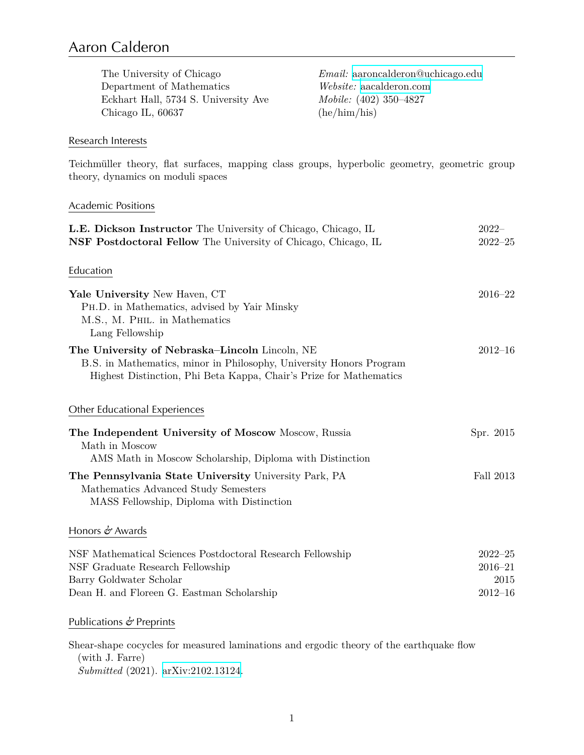# Aaron Calderon

| The University of Chicago            | $Email: aaron calendar on @uchicago.edu$ |
|--------------------------------------|------------------------------------------|
| Department of Mathematics            | <i>Website:</i> aacalderon.com           |
| Eckhart Hall, 5734 S. University Ave | <i>Mobile:</i> (402) 350–4827            |
| Chicago IL, 60637                    | (he/him/his)                             |
|                                      |                                          |

#### Research Interests

Teichmüller theory, flat surfaces, mapping class groups, hyperbolic geometry, geometric group theory, dynamics on moduli spaces

#### Academic Positions

| L.E. Dickson Instructor The University of Chicago, Chicago, IL                                                                                                                              | $2022-$                                           |
|---------------------------------------------------------------------------------------------------------------------------------------------------------------------------------------------|---------------------------------------------------|
| <b>NSF Postdoctoral Fellow</b> The University of Chicago, Chicago, IL                                                                                                                       | $2022 - 25$                                       |
| Education                                                                                                                                                                                   |                                                   |
| Yale University New Haven, CT<br>PH.D. in Mathematics, advised by Yair Minsky<br>M.S., M. PHIL. in Mathematics<br>Lang Fellowship                                                           | $2016 - 22$                                       |
| The University of Nebraska–Lincoln Lincoln, NE<br>B.S. in Mathematics, minor in Philosophy, University Honors Program<br>Highest Distinction, Phi Beta Kappa, Chair's Prize for Mathematics | $2012 - 16$                                       |
| Other Educational Experiences                                                                                                                                                               |                                                   |
| The Independent University of Moscow Moscow, Russia<br>Math in Moscow<br>AMS Math in Moscow Scholarship, Diploma with Distinction                                                           | Spr. 2015                                         |
| The Pennsylvania State University University Park, PA<br>Mathematics Advanced Study Semesters<br>MASS Fellowship, Diploma with Distinction                                                  | <b>Fall 2013</b>                                  |
| Honors $\phi$ Awards                                                                                                                                                                        |                                                   |
| NSF Mathematical Sciences Postdoctoral Research Fellowship<br>NSF Graduate Research Fellowship<br>Barry Goldwater Scholar<br>Dean H. and Floreen G. Eastman Scholarship                     | $2022 - 25$<br>$2016 - 21$<br>2015<br>$2012 - 16$ |
| Publications $\phi$ Preprints                                                                                                                                                               |                                                   |

Shear-shape cocycles for measured laminations and ergodic theory of the earthquake flow (with J. Farre) *Submitted* (2021). [arXiv:2102.13124](https://arxiv.org/abs/2102.13124).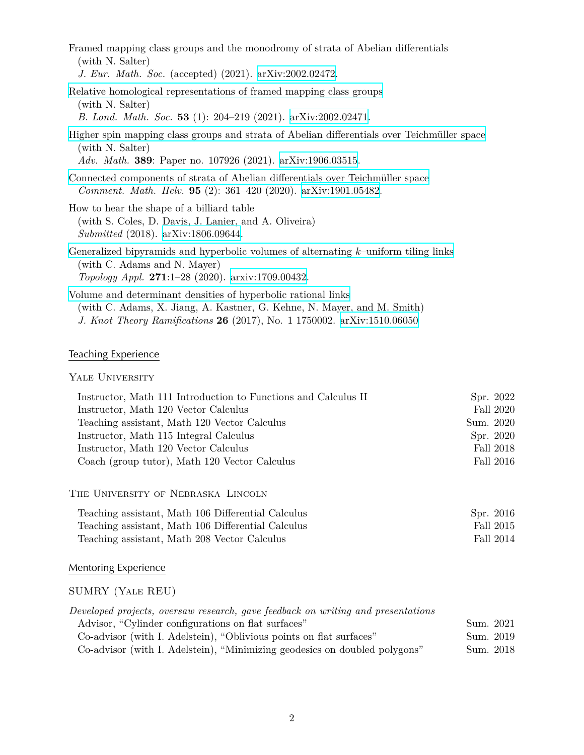| Framed mapping class groups and the monodromy of strata of Abelian differentials<br>(with N. Salter)<br>J. Eur. Math. Soc. (accepted) (2021). arXiv:2002.02472.                    |
|------------------------------------------------------------------------------------------------------------------------------------------------------------------------------------|
| Relative homological representations of framed mapping class groups<br>(with N. Salter)<br>B. Lond. Math. Soc. 53 (1): 204-219 (2021). arXiv:2002.02471.                           |
| Higher spin mapping class groups and strata of Abelian differentials over Teichmüller space<br>(with N. Salter)<br>Adv. Math. 389: Paper no. 107926 (2021). arXiv:1906.03515.      |
| Connected components of strata of Abelian differentials over Teichmüller space<br><i>Comment. Math. Helv.</i> <b>95</b> (2): $361-420$ (2020). arXiv:1901.05482.                   |
| How to hear the shape of a billiard table<br>(with S. Coles, D. Davis, J. Lanier, and A. Oliveira)<br><i>Submitted</i> (2018). $arXiv:1806.09644$ .                                |
| Generalized bipyramids and hyperbolic volumes of alternating $k$ -uniform tiling links<br>(with C. Adams and N. Mayer)<br><i>Topology Appl.</i> 271:1-28 (2020). arxiv:1709.00432. |
| Volume and determinant densities of hyperbolic rational links                                                                                                                      |

(with C. Adams, X. Jiang, A. Kastner, G. Kehne, N. Mayer, and M. Smith) *J. Knot Theory Ramifications* **26** (2017), No. 1 1750002. [arXiv:1510.06050](http://arxiv.org/abs/1510.06050)

# Teaching Experience

#### YALE UNIVERSITY

| Instructor, Math 111 Introduction to Functions and Calculus II | Spr. 2022 |
|----------------------------------------------------------------|-----------|
| Instructor, Math 120 Vector Calculus                           | Fall 2020 |
| Teaching assistant, Math 120 Vector Calculus                   | Sum. 2020 |
| Instructor, Math 115 Integral Calculus                         | Spr. 2020 |
| Instructor, Math 120 Vector Calculus                           | Fall 2018 |
| Coach (group tutor), Math 120 Vector Calculus                  | Fall 2016 |

The University of Nebraska–Lincoln

| Teaching assistant, Math 106 Differential Calculus | Spr. 2016 |
|----------------------------------------------------|-----------|
| Teaching assistant, Math 106 Differential Calculus | Fall 2015 |
| Teaching assistant, Math 208 Vector Calculus       | Fall 2014 |

### Mentoring Experience

#### SUMRY (Yale REU)

| Developed projects, oversaw research, gave feedback on writing and presentations |           |
|----------------------------------------------------------------------------------|-----------|
| Advisor, "Cylinder configurations on flat surfaces"                              | Sum. 2021 |
| Co-advisor (with I. Adelstein), "Oblivious points on flat surfaces"              | Sum. 2019 |
| Co-advisor (with I. Adelstein), "Minimizing geodesics on doubled polygons"       | Sum. 2018 |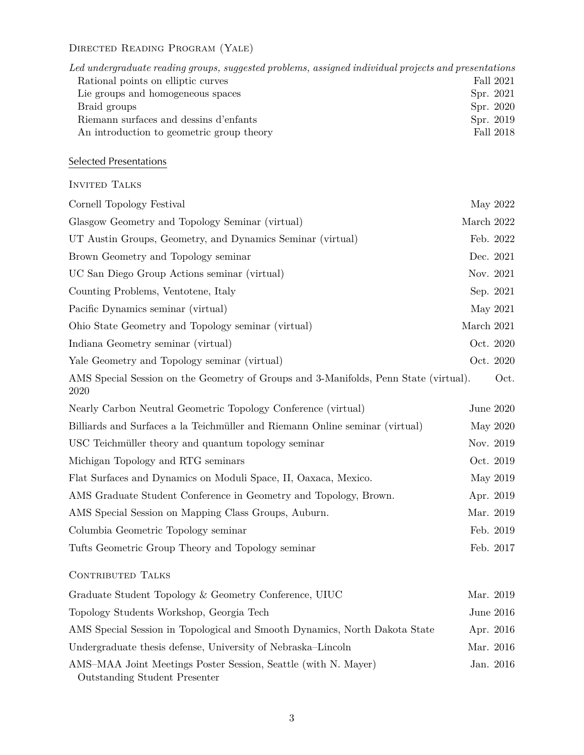# Directed Reading Program (Yale)

| Led undergraduate reading groups, suggested problems, assigned individual projects and presentations |           |
|------------------------------------------------------------------------------------------------------|-----------|
| Rational points on elliptic curves                                                                   | Fall 2021 |
| Lie groups and homogeneous spaces                                                                    | Spr. 2021 |
| Braid groups                                                                                         | Spr. 2020 |
| Riemann surfaces and dessins d'enfants                                                               | Spr. 2019 |
| An introduction to geometric group theory                                                            | Fall 2018 |

# Selected Presentations

#### INVITED TALKS

| Cornell Topology Festival                                                                              | May 2022     |
|--------------------------------------------------------------------------------------------------------|--------------|
| Glasgow Geometry and Topology Seminar (virtual)                                                        | March 2022   |
| UT Austin Groups, Geometry, and Dynamics Seminar (virtual)                                             | Feb. 2022    |
| Brown Geometry and Topology seminar                                                                    | Dec. 2021    |
| UC San Diego Group Actions seminar (virtual)                                                           | Nov. 2021    |
| Counting Problems, Ventotene, Italy                                                                    | Sep. 2021    |
| Pacific Dynamics seminar (virtual)                                                                     | May 2021     |
| Ohio State Geometry and Topology seminar (virtual)                                                     | March $2021$ |
| Indiana Geometry seminar (virtual)                                                                     | Oct. 2020    |
| Yale Geometry and Topology seminar (virtual)                                                           | Oct. 2020    |
| AMS Special Session on the Geometry of Groups and 3-Manifolds, Penn State (virtual).<br>2020           | Oct.         |
| Nearly Carbon Neutral Geometric Topology Conference (virtual)                                          | June 2020    |
| Billiards and Surfaces a la Teichmüller and Riemann Online seminar (virtual)                           | May 2020     |
| USC Teichmüller theory and quantum topology seminar                                                    | Nov. 2019    |
| Michigan Topology and RTG seminars                                                                     | Oct. 2019    |
| Flat Surfaces and Dynamics on Moduli Space, II, Oaxaca, Mexico.                                        | May 2019     |
| AMS Graduate Student Conference in Geometry and Topology, Brown.                                       | Apr. 2019    |
| AMS Special Session on Mapping Class Groups, Auburn.                                                   | Mar. 2019    |
| Columbia Geometric Topology seminar                                                                    | Feb. 2019    |
| Tufts Geometric Group Theory and Topology seminar                                                      | Feb. 2017    |
| <b>CONTRIBUTED TALKS</b>                                                                               |              |
| Graduate Student Topology & Geometry Conference, UIUC                                                  | Mar. 2019    |
| Topology Students Workshop, Georgia Tech                                                               | June 2016    |
| AMS Special Session in Topological and Smooth Dynamics, North Dakota State                             | Apr. 2016    |
| Undergraduate thesis defense, University of Nebraska–Lincoln                                           | Mar. 2016    |
| AMS-MAA Joint Meetings Poster Session, Seattle (with N. Mayer)<br><b>Outstanding Student Presenter</b> | Jan. 2016    |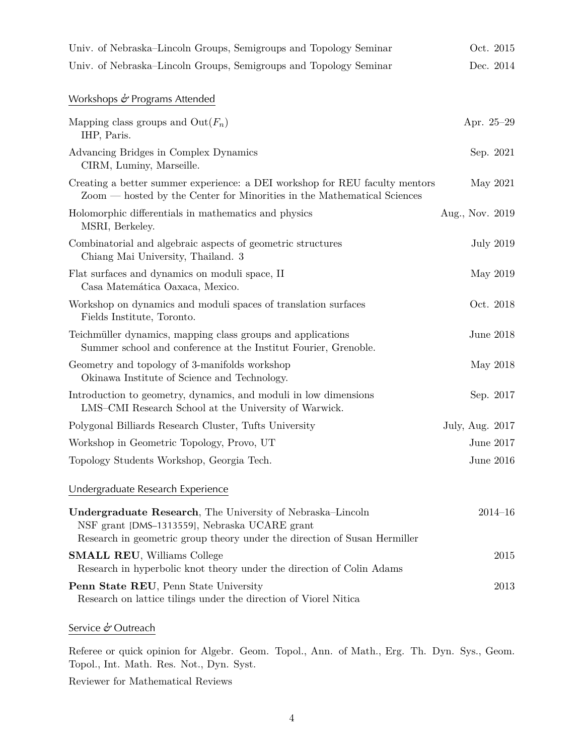| Univ. of Nebraska–Lincoln Groups, Semigroups and Topology Seminar                                                                                                                        | Oct. 2015        |
|------------------------------------------------------------------------------------------------------------------------------------------------------------------------------------------|------------------|
| Univ. of Nebraska–Lincoln Groups, Semigroups and Topology Seminar                                                                                                                        | Dec. 2014        |
| Workshops $\phi$ Programs Attended                                                                                                                                                       |                  |
| Mapping class groups and $Out(F_n)$<br>IHP, Paris.                                                                                                                                       | Apr. 25-29       |
| Advancing Bridges in Complex Dynamics<br>CIRM, Luminy, Marseille.                                                                                                                        | Sep. 2021        |
| Creating a better summer experience: a DEI workshop for REU faculty mentors<br>Zoom — hosted by the Center for Minorities in the Mathematical Sciences                                   | May 2021         |
| Holomorphic differentials in mathematics and physics<br>MSRI, Berkeley.                                                                                                                  | Aug., Nov. 2019  |
| Combinatorial and algebraic aspects of geometric structures<br>Chiang Mai University, Thailand. 3                                                                                        | <b>July 2019</b> |
| Flat surfaces and dynamics on moduli space, II<br>Casa Matemática Oaxaca, Mexico.                                                                                                        | May 2019         |
| Workshop on dynamics and moduli spaces of translation surfaces<br>Fields Institute, Toronto.                                                                                             | Oct. 2018        |
| Teichmüller dynamics, mapping class groups and applications<br>Summer school and conference at the Institut Fourier, Grenoble.                                                           | <b>June 2018</b> |
| Geometry and topology of 3-manifolds workshop<br>Okinawa Institute of Science and Technology.                                                                                            | May 2018         |
| Introduction to geometry, dynamics, and moduli in low dimensions<br>LMS-CMI Research School at the University of Warwick.                                                                | Sep. 2017        |
| Polygonal Billiards Research Cluster, Tufts University                                                                                                                                   | July, Aug. 2017  |
| Workshop in Geometric Topology, Provo, UT                                                                                                                                                | <b>June 2017</b> |
| Topology Students Workshop, Georgia Tech.                                                                                                                                                | June 2016        |
| Undergraduate Research Experience                                                                                                                                                        |                  |
| Undergraduate Research, The University of Nebraska-Lincoln<br>NSF grant [DMS-1313559], Nebraska UCARE grant<br>Research in geometric group theory under the direction of Susan Hermiller | $2014 - 16$      |
| <b>SMALL REU, Williams College</b><br>Research in hyperbolic knot theory under the direction of Colin Adams                                                                              | 2015             |
| Penn State REU, Penn State University<br>Research on lattice tilings under the direction of Viorel Nitical                                                                               | 2013             |

#### Service *&* Outreach

Referee or quick opinion for Algebr. Geom. Topol., Ann. of Math., Erg. Th. Dyn. Sys., Geom. Topol., Int. Math. Res. Not., Dyn. Syst.

Reviewer for Mathematical Reviews